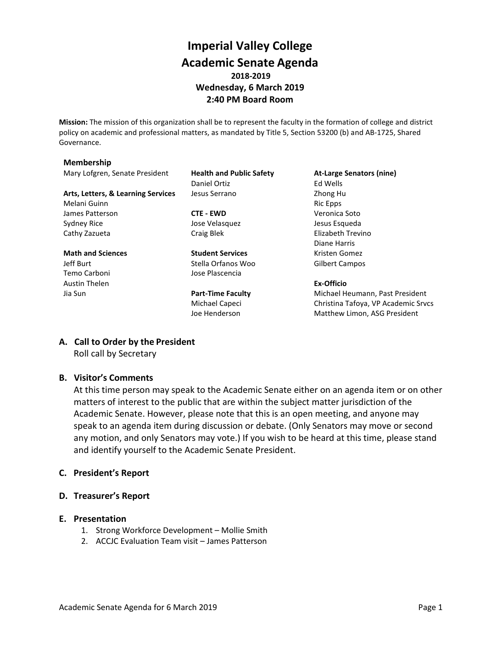# **Imperial Valley College Academic Senate Agenda 2018-2019 Wednesday, 6 March 2019 2:40 PM Board Room**

**Mission:** The mission of this organization shall be to represent the faculty in the formation of college and district policy on academic and professional matters, as mandated by Title 5, Section 53200 (b) and AB-1725, Shared Governance.

#### **Membership**

Mary Lofgren, Senate President **Health and Public Safety At-Large Senators (nine)**

Arts, Letters, & Learning Services Jesus Serrano **Zhong Human** Zhong Human Zhong Human Zhong Human Zhong Human Zhong Human Zhong Human Zhong Human Zhong Human Zhong Human Zhong Human Zhong Human Zhong Human Zhong Human Zho Melani Guinn **Ric Epps** and Ric Epps **Ric Epps Ric Epps** James Patterson **CTE - EWD** Veronica Soto Sydney Rice **Symbol Sydney Rice** Jose Velasquez **Jesus Esqueda** Cathy Zazueta **Craig Blek** Craig Blek Elizabeth Trevino

Jeff Burt Stella Orfanos Woo Gilbert Campos Temo Carboni Jose Plascencia Austin Thelen **Ex-Officio**

Daniel Ortiz **Ed Wells** 

**Math and Sciences Student Services** Kristen Gomez

Diane Harris

Jia Sun **Part-Time Faculty** Michael Heumann, Past President Michael Capeci Christina Tafoya, VP Academic Srvcs Joe Henderson Matthew Limon, ASG President

## **A. Call to Order by the President**

Roll call by Secretary

## **B. Visitor's Comments**

At this time person may speak to the Academic Senate either on an agenda item or on other matters of interest to the public that are within the subject matter jurisdiction of the Academic Senate. However, please note that this is an open meeting, and anyone may speak to an agenda item during discussion or debate. (Only Senators may move or second any motion, and only Senators may vote.) If you wish to be heard at this time, please stand and identify yourself to the Academic Senate President.

#### **C. President's Report**

## **D. Treasurer's Report**

#### **E. Presentation**

- 1. Strong Workforce Development Mollie Smith
- 2. ACCJC Evaluation Team visit James Patterson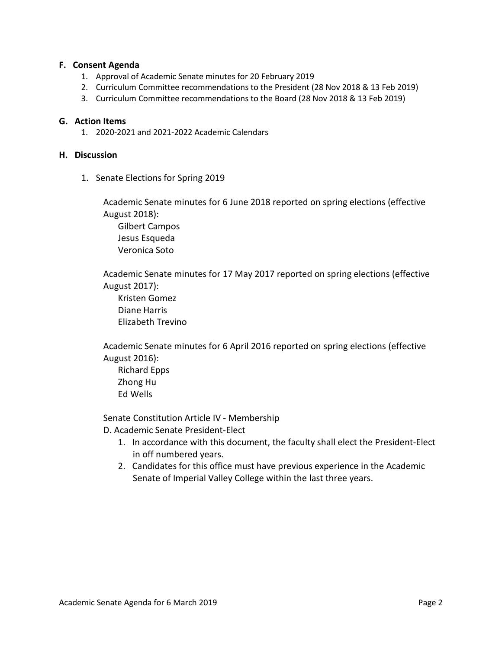#### **F. Consent Agenda**

- 1. Approval of Academic Senate minutes for 20 February 2019
- 2. Curriculum Committee recommendations to the President (28 Nov 2018 & 13 Feb 2019)
- 3. Curriculum Committee recommendations to the Board (28 Nov 2018 & 13 Feb 2019)

#### **G. Action Items**

1. 2020-2021 and 2021-2022 Academic Calendars

#### **H. Discussion**

1. Senate Elections for Spring 2019

Academic Senate minutes for 6 June 2018 reported on spring elections (effective August 2018):

Gilbert Campos Jesus Esqueda Veronica Soto

Academic Senate minutes for 17 May 2017 reported on spring elections (effective August 2017):

Kristen Gomez Diane Harris Elizabeth Trevino

Academic Senate minutes for 6 April 2016 reported on spring elections (effective August 2016):

Richard Epps Zhong Hu Ed Wells

Senate Constitution Article IV - Membership

D. Academic Senate President-Elect

- 1. In accordance with this document, the faculty shall elect the President-Elect in off numbered years.
- 2. Candidates for this office must have previous experience in the Academic Senate of Imperial Valley College within the last three years.